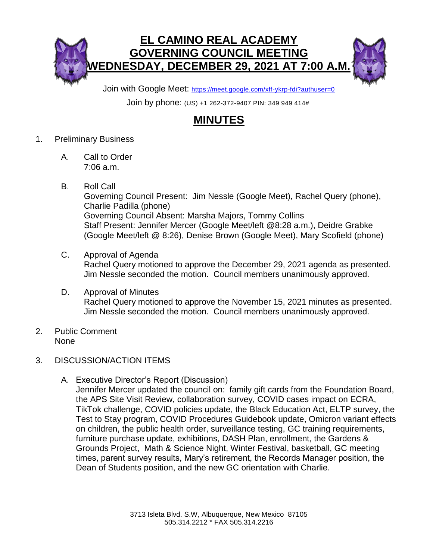

Join with Google Meet: <https://meet.google.com/xff-ykrp-fdi?authuser=0>

Join by phone: (US) +1 262-372-9407 PIN: 349 949 414#

## **MINUTES**

- 1. Preliminary Business
	- A. Call to Order 7:06 a.m.
	- B. Roll Call Governing Council Present: Jim Nessle (Google Meet), Rachel Query (phone), Charlie Padilla (phone) Governing Council Absent: Marsha Majors, Tommy Collins Staff Present: Jennifer Mercer (Google Meet/left @8:28 a.m.), Deidre Grabke (Google Meet/left @ 8:26), Denise Brown (Google Meet), Mary Scofield (phone)
	- C. Approval of Agenda Rachel Query motioned to approve the December 29, 2021 agenda as presented. Jim Nessle seconded the motion. Council members unanimously approved.
	- D. Approval of Minutes Rachel Query motioned to approve the November 15, 2021 minutes as presented. Jim Nessle seconded the motion. Council members unanimously approved.
- 2. Public Comment None
- 3. DISCUSSION/ACTION ITEMS
	- A. Executive Director's Report (Discussion)

Jennifer Mercer updated the council on: family gift cards from the Foundation Board, the APS Site Visit Review, collaboration survey, COVID cases impact on ECRA, TikTok challenge, COVID policies update, the Black Education Act, ELTP survey, the Test to Stay program, COVID Procedures Guidebook update, Omicron variant effects on children, the public health order, surveillance testing, GC training requirements, furniture purchase update, exhibitions, DASH Plan, enrollment, the Gardens & Grounds Project, Math & Science Night, Winter Festival, basketball, GC meeting times, parent survey results, Mary's retirement, the Records Manager position, the Dean of Students position, and the new GC orientation with Charlie.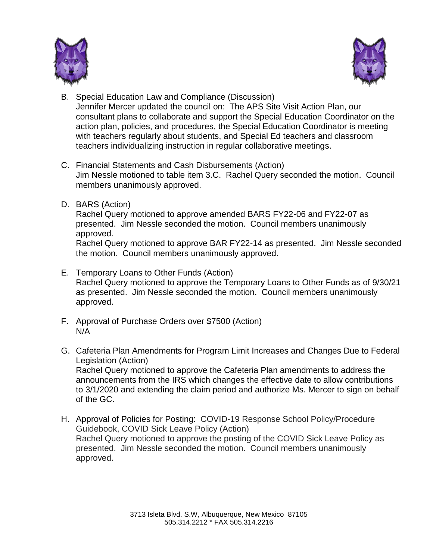



- B. Special Education Law and Compliance (Discussion) Jennifer Mercer updated the council on: The APS Site Visit Action Plan, our consultant plans to collaborate and support the Special Education Coordinator on the action plan, policies, and procedures, the Special Education Coordinator is meeting with teachers regularly about students, and Special Ed teachers and classroom teachers individualizing instruction in regular collaborative meetings.
- C. Financial Statements and Cash Disbursements (Action) Jim Nessle motioned to table item 3.C. Rachel Query seconded the motion. Council members unanimously approved.
- D. BARS (Action)

Rachel Query motioned to approve amended BARS FY22-06 and FY22-07 as presented. Jim Nessle seconded the motion. Council members unanimously approved.

Rachel Query motioned to approve BAR FY22-14 as presented. Jim Nessle seconded the motion. Council members unanimously approved.

- E. Temporary Loans to Other Funds (Action) Rachel Query motioned to approve the Temporary Loans to Other Funds as of 9/30/21 as presented. Jim Nessle seconded the motion. Council members unanimously approved.
- F. Approval of Purchase Orders over \$7500 (Action) N/A
- G. Cafeteria Plan Amendments for Program Limit Increases and Changes Due to Federal Legislation (Action) Rachel Query motioned to approve the Cafeteria Plan amendments to address the announcements from the IRS which changes the effective date to allow contributions to 3/1/2020 and extending the claim period and authorize Ms. Mercer to sign on behalf of the GC.
- H. Approval of Policies for Posting: COVID-19 Response School Policy/Procedure Guidebook, COVID Sick Leave Policy (Action) Rachel Query motioned to approve the posting of the COVID Sick Leave Policy as presented. Jim Nessle seconded the motion. Council members unanimously approved.